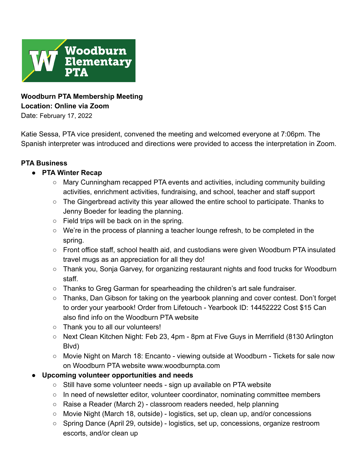

# **Woodburn PTA Membership Meeting Location: Online via Zoom**

Date: February 17, 2022

Katie Sessa, PTA vice president, convened the meeting and welcomed everyone at 7:06pm. The Spanish interpreter was introduced and directions were provided to access the interpretation in Zoom.

#### **PTA Business**

#### **● PTA Winter Recap**

- Mary Cunningham recapped PTA events and activities, including community building activities, enrichment activities, fundraising, and school, teacher and staff support
- $\circ$  The Gingerbread activity this year allowed the entire school to participate. Thanks to Jenny Boeder for leading the planning.
- $\circ$  Field trips will be back on in the spring.
- We're in the process of planning a teacher lounge refresh, to be completed in the spring.
- Front office staff, school health aid, and custodians were given Woodburn PTA insulated travel mugs as an appreciation for all they do!
- Thank you, Sonja Garvey, for organizing restaurant nights and food trucks for Woodburn staff.
- Thanks to Greg Garman for spearheading the children's art sale fundraiser.
- Thanks, Dan Gibson for taking on the yearbook planning and cover contest. Don't forget to order your yearbook! Order from Lifetouch - Yearbook ID: 14452222 Cost \$15 Can also find info on the Woodburn PTA website
- Thank you to all our volunteers!
- Next Clean Kitchen Night: Feb 23, 4pm 8pm at Five Guys in Merrifield (8130 Arlington Blvd)
- Movie Night on March 18: Encanto viewing outside at Woodburn Tickets for sale now on Woodburn PTA website www.woodburnpta.com
- **● Upcoming volunteer opportunities and needs**
	- **○** Still have some volunteer needs sign up available on PTA website
	- In need of newsletter editor, volunteer coordinator, nominating committee members
	- Raise a Reader (March 2) classroom readers needed, help planning
	- Movie Night (March 18, outside) logistics, set up, clean up, and/or concessions
	- Spring Dance (April 29, outside) logistics, set up, concessions, organize restroom escorts, and/or clean up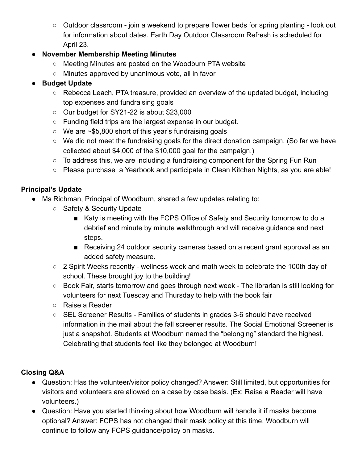○ Outdoor classroom - join a weekend to prepare flower beds for spring planting - look out for information about dates. Earth Day Outdoor Classroom Refresh is scheduled for April 23.

### ● **November Membership Meeting Minutes**

- [Meeting Minutes](https://www.woodburnpta.com/wp-content/uploads/2022/02/21_11_18_Woodburn-PTA-Membership-Mtg-Minutes12244.pdf) are posted on the Woodburn PTA website
- Minutes approved by unanimous vote, all in favor

### **● Budget Update**

- Rebecca Leach, PTA treasure, provided an overview of the updated budget, including top expenses and fundraising goals
- Our budget for SY21-22 is about \$23,000
- Funding field trips are the largest expense in our budget.
- We are ~\$5,800 short of this year's fundraising goals
- We did not meet the fundraising goals for the direct donation campaign. (So far we have collected about \$4,000 of the \$10,000 goal for the campaign.)
- $\circ$  To address this, we are including a fundraising component for the Spring Fun Run
- Please purchase a Yearbook and participate in Clean Kitchen Nights, as you are able!

### **Principal's Update**

- Ms Richman, Principal of Woodburn, shared a few updates relating to:
	- Safety & Security Update
		- Katy is meeting with the FCPS Office of Safety and Security tomorrow to do a debrief and minute by minute walkthrough and will receive guidance and next steps.
		- Receiving 24 outdoor security cameras based on a recent grant approval as an added safety measure.
	- 2 Spirit Weeks recently wellness week and math week to celebrate the 100th day of school. These brought joy to the building!
	- Book Fair, starts tomorrow and goes through next week The librarian is still looking for volunteers for next Tuesday and Thursday to help with the book fair
	- Raise a Reader
	- SEL Screener Results Families of students in grades 3-6 should have received information in the mail about the fall screener results. The Social Emotional Screener is just a snapshot. Students at Woodburn named the "belonging" standard the highest. Celebrating that students feel like they belonged at Woodburn!

## **Closing Q&A**

- Question: Has the volunteer/visitor policy changed? Answer: Still limited, but opportunities for visitors and volunteers are allowed on a case by case basis. (Ex: Raise a Reader will have volunteers.)
- Question: Have you started thinking about how Woodburn will handle it if masks become optional? Answer: FCPS has not changed their mask policy at this time. Woodburn will continue to follow any FCPS guidance/policy on masks.